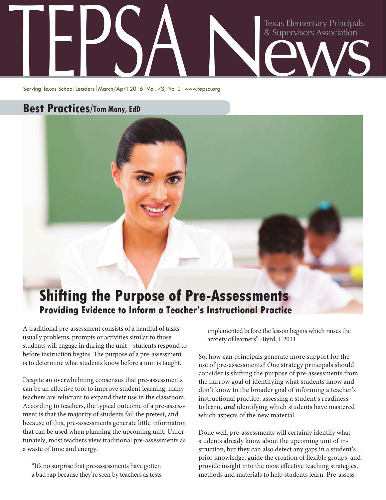## Texas Elementary Principals<br>& Supervisors Association Elementary Principals<br>
& Supervisors Association<br>
Serving Texas School Leaders | March/April 2016 | Vol. 73, No. 2 | www.tepsa.org

Serving Texas School Leaders March/April 2016 Vol. 73, No. 2 www.tepsa.org

## **Best Practices/Tom Many, EdD**



A traditional pre-assessment consists of a handful of tasks usually problems, prompts or activities similar to those students will engage in during the unit—students respond to before instruction begins. The purpose of a pre-assessment is to determine what students know before a unit is taught.

Despite an overwhelming consensus that pre-assessments can be an effective tool to improve student learning, many teachers are reluctant to expand their use in the classroom. According to teachers, the typical outcome of a pre-assessment is that the majority of students fail the pretest, and because of this, pre-assessments generate little information that can be used when planning the upcoming unit. Unfortunately, most teachers view traditional pre-assessments as a waste of time and energy.

"It's no surprise that pre-assessments have gotten a bad rap because they're seen by teachers as tests implemented before the lesson begins which raises the anxiety of learners" -Byrd, I. 2011

So, how can principals generate more support for the use of pre-assessments? One strategy principals should consider is shifting the purpose of pre-assessments from the narrow goal of identifying what students know and don't know to the broader goal of informing a teacher's instructional practice, assessing a student's readiness to learn, *and* identifying which students have mastered which aspects of the new material.

Done well, pre-assessments will certainly identify what students already know about the upcoming unit of instruction, but they can also detect any gaps in a student's prior knowledge, guide the creation of flexible groups, and provide insight into the most effective teaching strategies, methods and materials to help students learn. Pre-assess